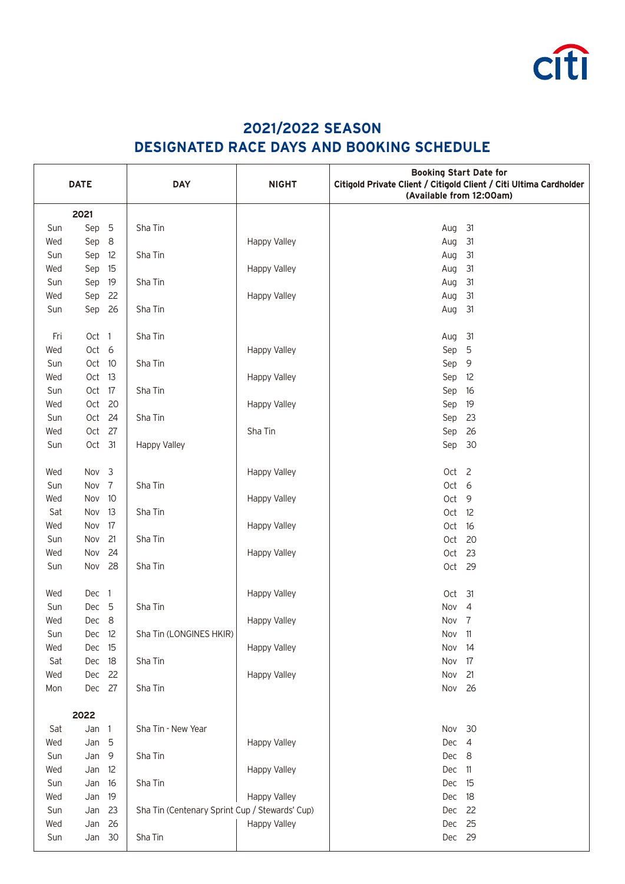

## **2021/2022 SEASON DESIGNATED RACE DAYS AND BOOKING SCHEDULE**

| <b>DATE</b> |        |    | <b>DAY</b>                                     | <b>NIGHT</b> | <b>Booking Start Date for</b><br>Citigold Private Client / Citigold Client / Citi Ultima Cardholder<br>(Available from 12:00am) |                |
|-------------|--------|----|------------------------------------------------|--------------|---------------------------------------------------------------------------------------------------------------------------------|----------------|
|             | 2021   |    |                                                |              |                                                                                                                                 |                |
| Sun         | Sep    | 5  | Sha Tin                                        |              | Aug                                                                                                                             | 31             |
| Wed         | Sep    | 8  |                                                | Happy Valley | Aug                                                                                                                             | 31             |
| Sun         | Sep    | 12 | Sha Tin                                        |              | Aug                                                                                                                             | 31             |
| Wed         | Sep    | 15 |                                                | Happy Valley | Aug                                                                                                                             | 31             |
| Sun         | Sep 19 |    | Sha Tin                                        |              | Aug                                                                                                                             | 31             |
| Wed         | Sep 22 |    |                                                | Happy Valley | Aug                                                                                                                             | 31             |
| Sun         | Sep 26 |    | Sha Tin                                        |              | Aug                                                                                                                             | 31             |
|             |        |    |                                                |              |                                                                                                                                 |                |
| Fri         | Oct 1  |    | Sha Tin                                        |              | Aug                                                                                                                             | 31             |
| Wed         | Oct 6  |    |                                                | Happy Valley | Sep 5                                                                                                                           |                |
| Sun         | Oct 10 |    | Sha Tin                                        |              | Sep 9                                                                                                                           |                |
| Wed         | Oct 13 |    |                                                | Happy Valley | Sep 12                                                                                                                          |                |
| Sun         | Oct 17 |    | Sha Tin                                        |              | Sep                                                                                                                             | 16             |
| Wed         | Oct 20 |    |                                                | Happy Valley | Sep                                                                                                                             | 19             |
| Sun         | Oct 24 |    | Sha Tin                                        |              | Sep                                                                                                                             | 23             |
| Wed         | Oct 27 |    |                                                | Sha Tin      | Sep 26                                                                                                                          |                |
| Sun         | Oct 31 |    | <b>Happy Valley</b>                            |              | Sep 30                                                                                                                          |                |
|             |        |    |                                                |              |                                                                                                                                 |                |
| Wed         | Nov 3  |    |                                                | Happy Valley | Oct 2                                                                                                                           |                |
| Sun         | Nov 7  |    | Sha Tin                                        |              | Oct 6                                                                                                                           |                |
| Wed         | Nov    | 10 |                                                | Happy Valley | Oct 9                                                                                                                           |                |
| Sat         | Nov    | 13 | Sha Tin                                        |              | Oct 12                                                                                                                          |                |
| Wed         | Nov    | 17 |                                                | Happy Valley | Oct                                                                                                                             | 16             |
| Sun         | Nov    | 21 | Sha Tin                                        |              | Oct 20                                                                                                                          |                |
| Wed         | Nov    | 24 |                                                | Happy Valley | Oct 23                                                                                                                          |                |
| Sun         | Nov 28 |    | Sha Tin                                        |              | Oct 29                                                                                                                          |                |
|             |        |    |                                                |              |                                                                                                                                 |                |
| Wed         | Dec 1  |    |                                                | Happy Valley | Oct 31                                                                                                                          |                |
| Sun         | Dec 5  |    | Sha Tin                                        |              | Nov                                                                                                                             | $\overline{4}$ |
| Wed         | Dec 8  |    |                                                | Happy Valley | Nov <sub>7</sub>                                                                                                                |                |
| Sun         | Dec 12 |    | Sha Tin (LONGINES HKIR)                        |              | Nov 11                                                                                                                          |                |
| Wed         | Dec 15 |    |                                                | Happy Valley | Nov 14                                                                                                                          |                |
| Sat         | Dec 18 |    | Sha Tin                                        |              | Nov                                                                                                                             | 17             |
| Wed         | Dec 22 |    |                                                | Happy Valley | Nov                                                                                                                             | 21             |
| Mon         | Dec 27 |    | Sha Tin                                        |              | Nov 26                                                                                                                          |                |
|             |        |    |                                                |              |                                                                                                                                 |                |
|             | 2022   |    |                                                |              |                                                                                                                                 |                |
| Sat         | Jan 1  |    | Sha Tin - New Year                             |              | Nov 30                                                                                                                          |                |
| Wed         | Jan 5  |    |                                                | Happy Valley | Dec 4                                                                                                                           |                |
| Sun         | Jan 9  |    | Sha Tin                                        |              | Dec 8                                                                                                                           |                |
| Wed         | Jan 12 |    |                                                | Happy Valley | Dec 11                                                                                                                          |                |
| Sun         | Jan    | 16 | Sha Tin                                        |              | Dec 15                                                                                                                          |                |
| Wed         | Jan    | 19 |                                                | Happy Valley | Dec 18                                                                                                                          |                |
| Sun         | Jan 23 |    | Sha Tin (Centenary Sprint Cup / Stewards' Cup) |              | Dec 22                                                                                                                          |                |
| Wed         | Jan 26 |    |                                                | Happy Valley | Dec 25                                                                                                                          |                |
| Sun         | Jan 30 |    | Sha Tin                                        |              | Dec 29                                                                                                                          |                |
|             |        |    |                                                |              |                                                                                                                                 |                |